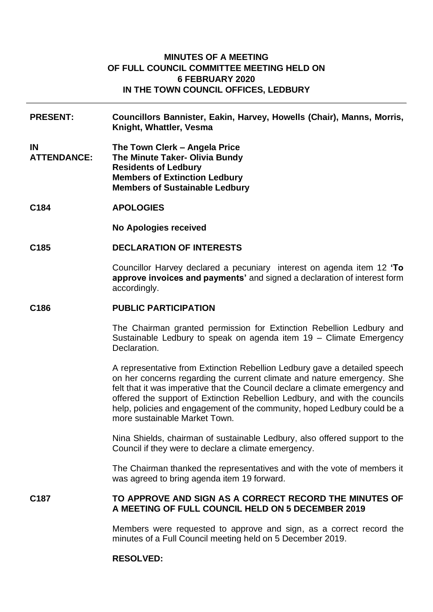# **MINUTES OF A MEETING OF FULL COUNCIL COMMITTEE MEETING HELD ON 6 FEBRUARY 2020 IN THE TOWN COUNCIL OFFICES, LEDBURY**

- **PRESENT: Councillors Bannister, Eakin, Harvey, Howells (Chair), Manns, Morris, Knight, Whattler, Vesma**
- **IN ATTENDANCE: The Town Clerk – Angela Price The Minute Taker- Olivia Bundy Residents of Ledbury Members of Extinction Ledbury Members of Sustainable Ledbury**
- **C184 APOLOGIES**

**No Apologies received**

**C185 DECLARATION OF INTERESTS**

Councillor Harvey declared a pecuniary interest on agenda item 12 **'To approve invoices and payments'** and signed a declaration of interest form accordingly.

#### **C186 PUBLIC PARTICIPATION**

The Chairman granted permission for Extinction Rebellion Ledbury and Sustainable Ledbury to speak on agenda item 19 – Climate Emergency Declaration.

A representative from Extinction Rebellion Ledbury gave a detailed speech on her concerns regarding the current climate and nature emergency. She felt that it was imperative that the Council declare a climate emergency and offered the support of Extinction Rebellion Ledbury, and with the councils help, policies and engagement of the community, hoped Ledbury could be a more sustainable Market Town.

Nina Shields, chairman of sustainable Ledbury, also offered support to the Council if they were to declare a climate emergency.

The Chairman thanked the representatives and with the vote of members it was agreed to bring agenda item 19 forward.

# **C187 TO APPROVE AND SIGN AS A CORRECT RECORD THE MINUTES OF A MEETING OF FULL COUNCIL HELD ON 5 DECEMBER 2019**

Members were requested to approve and sign, as a correct record the minutes of a Full Council meeting held on 5 December 2019.

#### **RESOLVED:**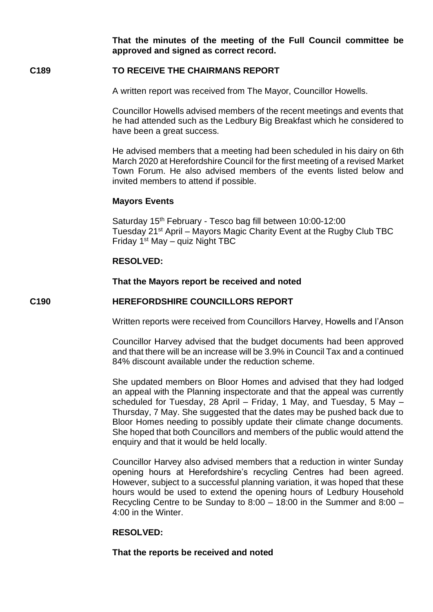**That the minutes of the meeting of the Full Council committee be approved and signed as correct record.**

# **C189 TO RECEIVE THE CHAIRMANS REPORT**

A written report was received from The Mayor, Councillor Howells.

Councillor Howells advised members of the recent meetings and events that he had attended such as the Ledbury Big Breakfast which he considered to have been a great success.

He advised members that a meeting had been scheduled in his dairy on 6th March 2020 at Herefordshire Council for the first meeting of a revised Market Town Forum. He also advised members of the events listed below and invited members to attend if possible.

# **Mayors Events**

Saturday 15<sup>th</sup> February - Tesco bag fill between 10:00-12:00 Tuesday 21<sup>st</sup> April – Mayors Magic Charity Event at the Rugby Club TBC Friday 1<sup>st</sup> May - quiz Night TBC

# **RESOLVED:**

## **That the Mayors report be received and noted**

# **C190 HEREFORDSHIRE COUNCILLORS REPORT**

Written reports were received from Councillors Harvey, Howells and I'Anson

Councillor Harvey advised that the budget documents had been approved and that there will be an increase will be 3.9% in Council Tax and a continued 84% discount available under the reduction scheme.

She updated members on Bloor Homes and advised that they had lodged an appeal with the Planning inspectorate and that the appeal was currently scheduled for Tuesday, 28 April – Friday, 1 May, and Tuesday, 5 May – Thursday, 7 May. She suggested that the dates may be pushed back due to Bloor Homes needing to possibly update their climate change documents. She hoped that both Councillors and members of the public would attend the enquiry and that it would be held locally.

Councillor Harvey also advised members that a reduction in winter Sunday opening hours at Herefordshire's recycling Centres had been agreed. However, subject to a successful planning variation, it was hoped that these hours would be used to extend the opening hours of Ledbury Household Recycling Centre to be Sunday to 8:00 – 18:00 in the Summer and 8:00 – 4:00 in the Winter.

# **RESOLVED:**

# **That the reports be received and noted**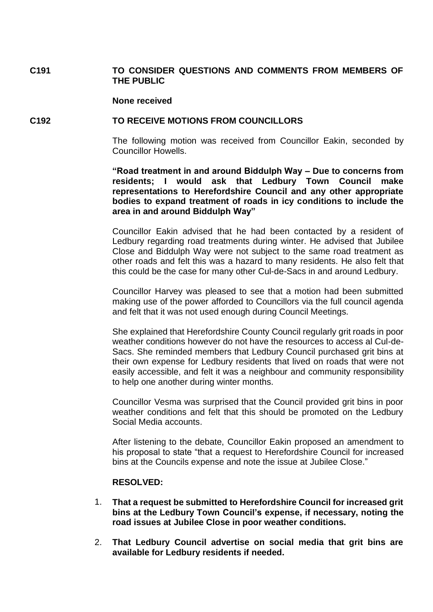# **C191 TO CONSIDER QUESTIONS AND COMMENTS FROM MEMBERS OF THE PUBLIC**

#### **None received**

### **C192 TO RECEIVE MOTIONS FROM COUNCILLORS**

The following motion was received from Councillor Eakin, seconded by Councillor Howells.

**"Road treatment in and around Biddulph Way – Due to concerns from residents; I would ask that Ledbury Town Council make representations to Herefordshire Council and any other appropriate bodies to expand treatment of roads in icy conditions to include the area in and around Biddulph Way"**

Councillor Eakin advised that he had been contacted by a resident of Ledbury regarding road treatments during winter. He advised that Jubilee Close and Biddulph Way were not subject to the same road treatment as other roads and felt this was a hazard to many residents. He also felt that this could be the case for many other Cul-de-Sacs in and around Ledbury.

Councillor Harvey was pleased to see that a motion had been submitted making use of the power afforded to Councillors via the full council agenda and felt that it was not used enough during Council Meetings.

She explained that Herefordshire County Council regularly grit roads in poor weather conditions however do not have the resources to access al Cul-de-Sacs. She reminded members that Ledbury Council purchased grit bins at their own expense for Ledbury residents that lived on roads that were not easily accessible, and felt it was a neighbour and community responsibility to help one another during winter months.

Councillor Vesma was surprised that the Council provided grit bins in poor weather conditions and felt that this should be promoted on the Ledbury Social Media accounts.

After listening to the debate, Councillor Eakin proposed an amendment to his proposal to state "that a request to Herefordshire Council for increased bins at the Councils expense and note the issue at Jubilee Close."

### **RESOLVED:**

- 1. **That a request be submitted to Herefordshire Council for increased grit bins at the Ledbury Town Council's expense, if necessary, noting the road issues at Jubilee Close in poor weather conditions.**
- 2. **That Ledbury Council advertise on social media that grit bins are available for Ledbury residents if needed.**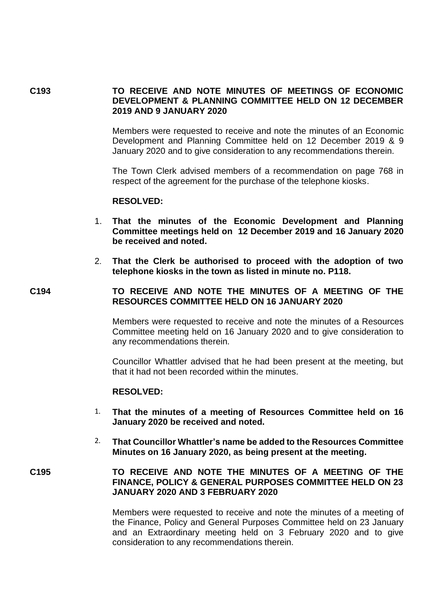### **C193 TO RECEIVE AND NOTE MINUTES OF MEETINGS OF ECONOMIC DEVELOPMENT & PLANNING COMMITTEE HELD ON 12 DECEMBER 2019 AND 9 JANUARY 2020**

Members were requested to receive and note the minutes of an Economic Development and Planning Committee held on 12 December 2019 & 9 January 2020 and to give consideration to any recommendations therein.

The Town Clerk advised members of a recommendation on page 768 in respect of the agreement for the purchase of the telephone kiosks.

#### **RESOLVED:**

- 1. **That the minutes of the Economic Development and Planning Committee meetings held on 12 December 2019 and 16 January 2020 be received and noted.**
- 2. **That the Clerk be authorised to proceed with the adoption of two telephone kiosks in the town as listed in minute no. P118.**

### **C194 TO RECEIVE AND NOTE THE MINUTES OF A MEETING OF THE RESOURCES COMMITTEE HELD ON 16 JANUARY 2020**

Members were requested to receive and note the minutes of a Resources Committee meeting held on 16 January 2020 and to give consideration to any recommendations therein.

Councillor Whattler advised that he had been present at the meeting, but that it had not been recorded within the minutes.

# **RESOLVED:**

- 1. **That the minutes of a meeting of Resources Committee held on 16 January 2020 be received and noted.**
- 2. **That Councillor Whattler's name be added to the Resources Committee Minutes on 16 January 2020, as being present at the meeting.**

# **C195 TO RECEIVE AND NOTE THE MINUTES OF A MEETING OF THE FINANCE, POLICY & GENERAL PURPOSES COMMITTEE HELD ON 23 JANUARY 2020 AND 3 FEBRUARY 2020**

Members were requested to receive and note the minutes of a meeting of the Finance, Policy and General Purposes Committee held on 23 January and an Extraordinary meeting held on 3 February 2020 and to give consideration to any recommendations therein.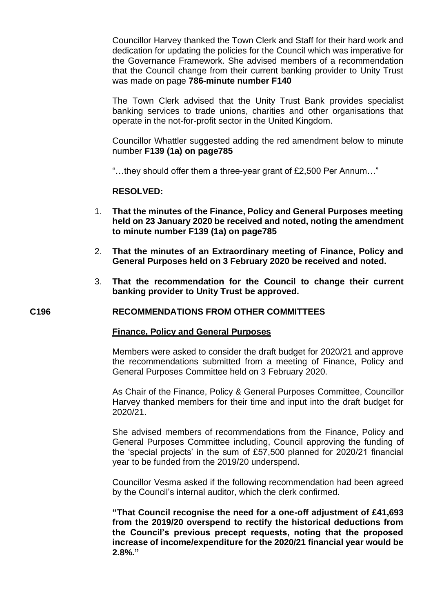Councillor Harvey thanked the Town Clerk and Staff for their hard work and dedication for updating the policies for the Council which was imperative for the Governance Framework. She advised members of a recommendation that the Council change from their current banking provider to Unity Trust was made on page **786-minute number F140** 

The Town Clerk advised that the Unity Trust Bank provides specialist banking services to trade unions, charities and other organisations that operate in the not-for-profit sector in the United Kingdom.

Councillor Whattler suggested adding the red amendment below to minute number **F139 (1a) on page785**

"…they should offer them a three-year grant of £2,500 Per Annum…"

## **RESOLVED:**

- 1. **That the minutes of the Finance, Policy and General Purposes meeting held on 23 January 2020 be received and noted, noting the amendment to minute number F139 (1a) on page785**
- 2. **That the minutes of an Extraordinary meeting of Finance, Policy and General Purposes held on 3 February 2020 be received and noted.**
- 3. **That the recommendation for the Council to change their current banking provider to Unity Trust be approved.**

### **C196 RECOMMENDATIONS FROM OTHER COMMITTEES**

### **Finance, Policy and General Purposes**

Members were asked to consider the draft budget for 2020/21 and approve the recommendations submitted from a meeting of Finance, Policy and General Purposes Committee held on 3 February 2020.

As Chair of the Finance, Policy & General Purposes Committee, Councillor Harvey thanked members for their time and input into the draft budget for 2020/21.

She advised members of recommendations from the Finance, Policy and General Purposes Committee including, Council approving the funding of the 'special projects' in the sum of £57,500 planned for 2020/21 financial year to be funded from the 2019/20 underspend.

Councillor Vesma asked if the following recommendation had been agreed by the Council's internal auditor, which the clerk confirmed.

**"That Council recognise the need for a one-off adjustment of £41,693 from the 2019/20 overspend to rectify the historical deductions from the Council's previous precept requests, noting that the proposed increase of income/expenditure for the 2020/21 financial year would be 2.8%."**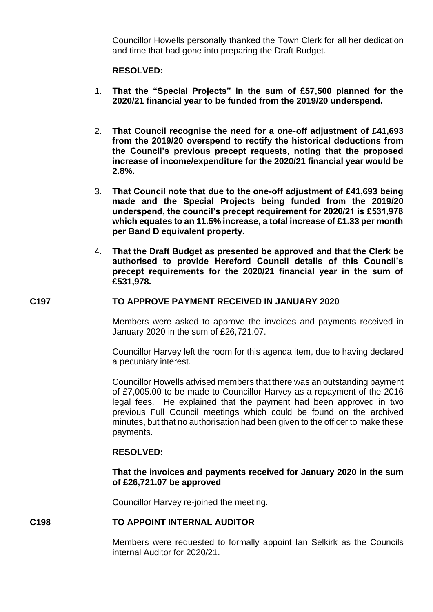Councillor Howells personally thanked the Town Clerk for all her dedication and time that had gone into preparing the Draft Budget.

# **RESOLVED:**

- 1. **That the "Special Projects" in the sum of £57,500 planned for the 2020/21 financial year to be funded from the 2019/20 underspend.**
- 2. **That Council recognise the need for a one-off adjustment of £41,693 from the 2019/20 overspend to rectify the historical deductions from the Council's previous precept requests, noting that the proposed increase of income/expenditure for the 2020/21 financial year would be 2.8%.**
- 3. **That Council note that due to the one-off adjustment of £41,693 being made and the Special Projects being funded from the 2019/20 underspend, the council's precept requirement for 2020/21 is £531,978 which equates to an 11.5% increase, a total increase of £1.33 per month per Band D equivalent property.**
- 4. **That the Draft Budget as presented be approved and that the Clerk be authorised to provide Hereford Council details of this Council's precept requirements for the 2020/21 financial year in the sum of £531,978.**

# **C197 TO APPROVE PAYMENT RECEIVED IN JANUARY 2020**

Members were asked to approve the invoices and payments received in January 2020 in the sum of £26,721.07.

Councillor Harvey left the room for this agenda item, due to having declared a pecuniary interest.

Councillor Howells advised members that there was an outstanding payment of £7,005.00 to be made to Councillor Harvey as a repayment of the 2016 legal fees. He explained that the payment had been approved in two previous Full Council meetings which could be found on the archived minutes, but that no authorisation had been given to the officer to make these payments.

### **RESOLVED:**

### **That the invoices and payments received for January 2020 in the sum of £26,721.07 be approved**

Councillor Harvey re-joined the meeting.

# **C198 TO APPOINT INTERNAL AUDITOR**

Members were requested to formally appoint Ian Selkirk as the Councils internal Auditor for 2020/21.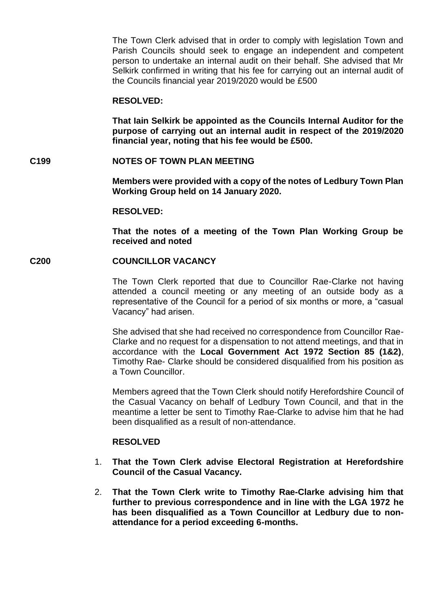The Town Clerk advised that in order to comply with legislation Town and Parish Councils should seek to engage an independent and competent person to undertake an internal audit on their behalf. She advised that Mr Selkirk confirmed in writing that his fee for carrying out an internal audit of the Councils financial year 2019/2020 would be £500

#### **RESOLVED:**

**That Iain Selkirk be appointed as the Councils Internal Auditor for the purpose of carrying out an internal audit in respect of the 2019/2020 financial year, noting that his fee would be £500.**

### **C199 NOTES OF TOWN PLAN MEETING**

**Members were provided with a copy of the notes of Ledbury Town Plan Working Group held on 14 January 2020.**

#### **RESOLVED:**

**That the notes of a meeting of the Town Plan Working Group be received and noted**

## **C200 COUNCILLOR VACANCY**

The Town Clerk reported that due to Councillor Rae-Clarke not having attended a council meeting or any meeting of an outside body as a representative of the Council for a period of six months or more, a "casual Vacancy" had arisen.

She advised that she had received no correspondence from Councillor Rae-Clarke and no request for a dispensation to not attend meetings, and that in accordance with the **Local Government Act 1972 Section 85 (1&2)**, Timothy Rae- Clarke should be considered disqualified from his position as a Town Councillor.

Members agreed that the Town Clerk should notify Herefordshire Council of the Casual Vacancy on behalf of Ledbury Town Council, and that in the meantime a letter be sent to Timothy Rae-Clarke to advise him that he had been disqualified as a result of non-attendance.

# **RESOLVED**

- 1. **That the Town Clerk advise Electoral Registration at Herefordshire Council of the Casual Vacancy.**
- 2. **That the Town Clerk write to Timothy Rae-Clarke advising him that further to previous correspondence and in line with the LGA 1972 he has been disqualified as a Town Councillor at Ledbury due to nonattendance for a period exceeding 6-months.**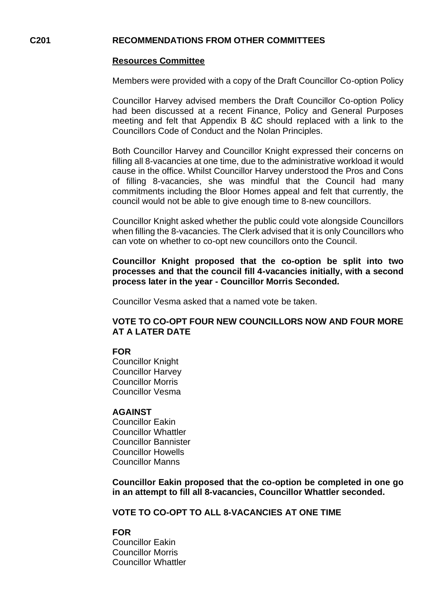### **C201 RECOMMENDATIONS FROM OTHER COMMITTEES**

### **Resources Committee**

Members were provided with a copy of the Draft Councillor Co-option Policy

Councillor Harvey advised members the Draft Councillor Co-option Policy had been discussed at a recent Finance, Policy and General Purposes meeting and felt that Appendix B &C should replaced with a link to the Councillors Code of Conduct and the Nolan Principles.

Both Councillor Harvey and Councillor Knight expressed their concerns on filling all 8-vacancies at one time, due to the administrative workload it would cause in the office. Whilst Councillor Harvey understood the Pros and Cons of filling 8-vacancies, she was mindful that the Council had many commitments including the Bloor Homes appeal and felt that currently, the council would not be able to give enough time to 8-new councillors.

Councillor Knight asked whether the public could vote alongside Councillors when filling the 8-vacancies. The Clerk advised that it is only Councillors who can vote on whether to co-opt new councillors onto the Council.

**Councillor Knight proposed that the co-option be split into two processes and that the council fill 4-vacancies initially, with a second process later in the year - Councillor Morris Seconded.**

Councillor Vesma asked that a named vote be taken.

# **VOTE TO CO-OPT FOUR NEW COUNCILLORS NOW AND FOUR MORE AT A LATER DATE**

# **FOR**

Councillor Knight Councillor Harvey Councillor Morris Councillor Vesma

### **AGAINST**

Councillor Eakin Councillor Whattler Councillor Bannister Councillor Howells Councillor Manns

**Councillor Eakin proposed that the co-option be completed in one go in an attempt to fill all 8-vacancies, Councillor Whattler seconded.**

**VOTE TO CO-OPT TO ALL 8-VACANCIES AT ONE TIME**

### **FOR**

Councillor Eakin Councillor Morris Councillor Whattler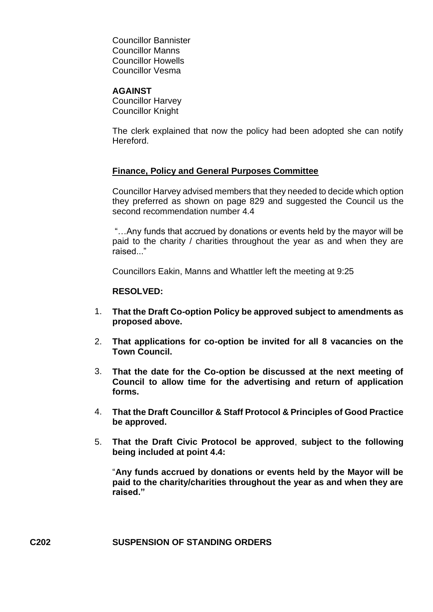Councillor Bannister Councillor Manns Councillor Howells Councillor Vesma

### **AGAINST**

Councillor Harvey Councillor Knight

The clerk explained that now the policy had been adopted she can notify Hereford.

# **Finance, Policy and General Purposes Committee**

Councillor Harvey advised members that they needed to decide which option they preferred as shown on page 829 and suggested the Council us the second recommendation number 4.4

"…Any funds that accrued by donations or events held by the mayor will be paid to the charity / charities throughout the year as and when they are raised "

Councillors Eakin, Manns and Whattler left the meeting at 9:25

## **RESOLVED:**

- 1. **That the Draft Co-option Policy be approved subject to amendments as proposed above.**
- 2. **That applications for co-option be invited for all 8 vacancies on the Town Council.**
- 3. **That the date for the Co-option be discussed at the next meeting of Council to allow time for the advertising and return of application forms.**
- 4. **That the Draft Councillor & Staff Protocol & Principles of Good Practice be approved.**
- 5. **That the Draft Civic Protocol be approved**, **subject to the following being included at point 4.4:**

"**Any funds accrued by donations or events held by the Mayor will be paid to the charity/charities throughout the year as and when they are raised."**

# **C202 SUSPENSION OF STANDING ORDERS**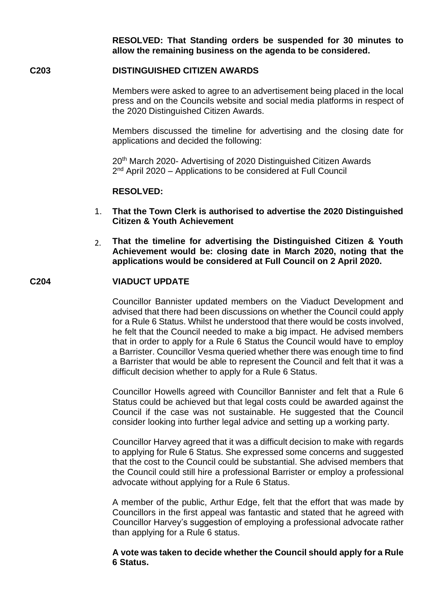**RESOLVED: That Standing orders be suspended for 30 minutes to allow the remaining business on the agenda to be considered.**

# **C203 DISTINGUISHED CITIZEN AWARDS**

Members were asked to agree to an advertisement being placed in the local press and on the Councils website and social media platforms in respect of the 2020 Distinguished Citizen Awards.

Members discussed the timeline for advertising and the closing date for applications and decided the following:

20th March 2020- Advertising of 2020 Distinguished Citizen Awards 2<sup>nd</sup> April 2020 – Applications to be considered at Full Council

#### **RESOLVED:**

- 1. **That the Town Clerk is authorised to advertise the 2020 Distinguished Citizen & Youth Achievement**
- 2. **That the timeline for advertising the Distinguished Citizen & Youth Achievement would be: closing date in March 2020, noting that the applications would be considered at Full Council on 2 April 2020.**

#### **C204 VIADUCT UPDATE**

Councillor Bannister updated members on the Viaduct Development and advised that there had been discussions on whether the Council could apply for a Rule 6 Status. Whilst he understood that there would be costs involved, he felt that the Council needed to make a big impact. He advised members that in order to apply for a Rule 6 Status the Council would have to employ a Barrister. Councillor Vesma queried whether there was enough time to find a Barrister that would be able to represent the Council and felt that it was a difficult decision whether to apply for a Rule 6 Status.

Councillor Howells agreed with Councillor Bannister and felt that a Rule 6 Status could be achieved but that legal costs could be awarded against the Council if the case was not sustainable. He suggested that the Council consider looking into further legal advice and setting up a working party.

Councillor Harvey agreed that it was a difficult decision to make with regards to applying for Rule 6 Status. She expressed some concerns and suggested that the cost to the Council could be substantial. She advised members that the Council could still hire a professional Barrister or employ a professional advocate without applying for a Rule 6 Status.

A member of the public, Arthur Edge, felt that the effort that was made by Councillors in the first appeal was fantastic and stated that he agreed with Councillor Harvey's suggestion of employing a professional advocate rather than applying for a Rule 6 status.

**A vote was taken to decide whether the Council should apply for a Rule 6 Status.**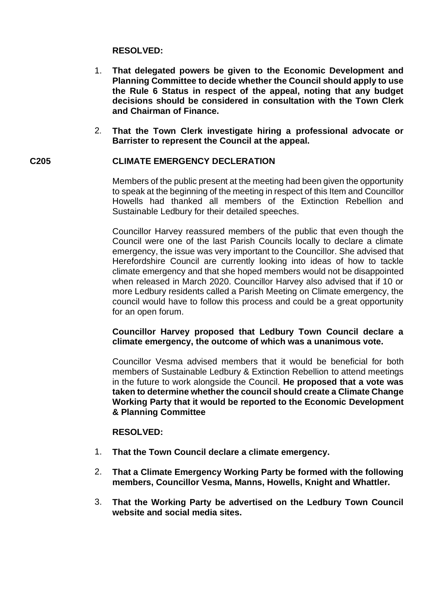# **RESOLVED:**

- 1. **That delegated powers be given to the Economic Development and Planning Committee to decide whether the Council should apply to use the Rule 6 Status in respect of the appeal, noting that any budget decisions should be considered in consultation with the Town Clerk and Chairman of Finance.**
- 2. **That the Town Clerk investigate hiring a professional advocate or Barrister to represent the Council at the appeal.**

# **C205 CLIMATE EMERGENCY DECLERATION**

Members of the public present at the meeting had been given the opportunity to speak at the beginning of the meeting in respect of this Item and Councillor Howells had thanked all members of the Extinction Rebellion and Sustainable Ledbury for their detailed speeches.

Councillor Harvey reassured members of the public that even though the Council were one of the last Parish Councils locally to declare a climate emergency, the issue was very important to the Councillor. She advised that Herefordshire Council are currently looking into ideas of how to tackle climate emergency and that she hoped members would not be disappointed when released in March 2020. Councillor Harvey also advised that if 10 or more Ledbury residents called a Parish Meeting on Climate emergency, the council would have to follow this process and could be a great opportunity for an open forum.

## **Councillor Harvey proposed that Ledbury Town Council declare a climate emergency, the outcome of which was a unanimous vote.**

Councillor Vesma advised members that it would be beneficial for both members of Sustainable Ledbury & Extinction Rebellion to attend meetings in the future to work alongside the Council. **He proposed that a vote was taken to determine whether the council should create a Climate Change Working Party that it would be reported to the Economic Development & Planning Committee**

### **RESOLVED:**

- 1. **That the Town Council declare a climate emergency.**
- 2. **That a Climate Emergency Working Party be formed with the following members, Councillor Vesma, Manns, Howells, Knight and Whattler.**
- 3. **That the Working Party be advertised on the Ledbury Town Council website and social media sites.**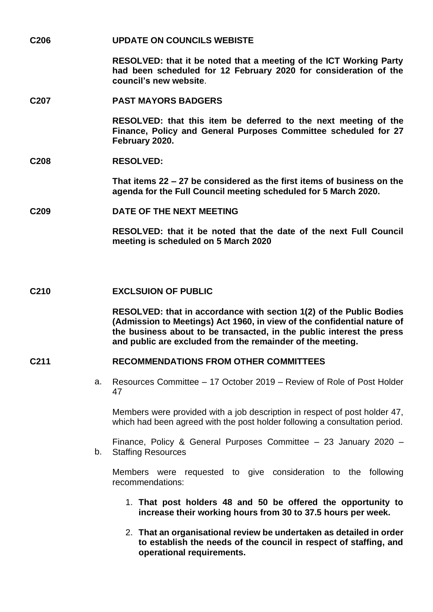**C206 UPDATE ON COUNCILS WEBISTE** 

**RESOLVED: that it be noted that a meeting of the ICT Working Party had been scheduled for 12 February 2020 for consideration of the council's new website**.

#### **C207 PAST MAYORS BADGERS**

**RESOLVED: that this item be deferred to the next meeting of the Finance, Policy and General Purposes Committee scheduled for 27 February 2020.**

### **C208 RESOLVED:**

**That items 22 – 27 be considered as the first items of business on the agenda for the Full Council meeting scheduled for 5 March 2020.**

#### **C209 DATE OF THE NEXT MEETING**

**RESOLVED: that it be noted that the date of the next Full Council meeting is scheduled on 5 March 2020**

#### **C210 EXCLSUION OF PUBLIC**

**RESOLVED: that in accordance with section 1(2) of the Public Bodies (Admission to Meetings) Act 1960, in view of the confidential nature of the business about to be transacted, in the public interest the press and public are excluded from the remainder of the meeting.**

### **C211 RECOMMENDATIONS FROM OTHER COMMITTEES**

a. Resources Committee – 17 October 2019 – Review of Role of Post Holder 47

Members were provided with a job description in respect of post holder 47, which had been agreed with the post holder following a consultation period.

b. Staffing Resources Finance, Policy & General Purposes Committee – 23 January 2020 –

Members were requested to give consideration to the following recommendations:

- 1. **That post holders 48 and 50 be offered the opportunity to increase their working hours from 30 to 37.5 hours per week.**
- 2. **That an organisational review be undertaken as detailed in order to establish the needs of the council in respect of staffing, and operational requirements.**